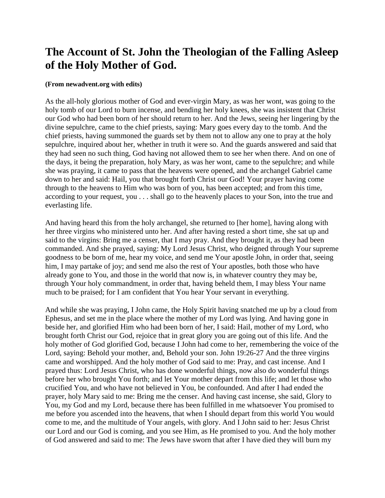## **The Account of St. John the Theologian of the Falling Asleep of the Holy Mother of God.**

## **(From newadvent.org with edits)**

As the all[-holy](http://www.newadvent.org/cathen/07386a.htm) [glorious](http://www.newadvent.org/cathen/06585a.htm) mother of [God](http://www.newadvent.org/cathen/06608a.htm) and ever-virgin Mary, as was her wont, was going to the [holy](http://www.newadvent.org/cathen/07386a.htm) tomb of our Lord to burn [incense,](http://www.newadvent.org/cathen/07716a.htm) and bending her [holy](http://www.newadvent.org/cathen/07386a.htm) knees, she was insistent that Christ our God who had been born of her should return to her. And the [Jews,](http://www.newadvent.org/cathen/08399a.htm) seeing her lingering by the divine sepulchre, came to the chief [priests,](http://www.newadvent.org/cathen/12406a.htm) saying: Mary goes every day to the tomb. And the chief [priests,](http://www.newadvent.org/cathen/12406a.htm) having summoned the guards set by them not to allow any one to [pray](http://www.newadvent.org/cathen/12345b.htm) at the [holy](http://www.newadvent.org/cathen/07386a.htm) sepulchre, inquired about her, whether in [truth](http://www.newadvent.org/cathen/15073a.htm) it were so. And the guards answered and said that they had seen no such thing, God having not allowed them to see her when there. And on one of the days, it being the preparation, [holy](http://www.newadvent.org/cathen/07386a.htm) Mary, as was her wont, came to the sepulchre; and while she was [praying,](http://www.newadvent.org/cathen/12345b.htm) it came to pass that the heavens were opened, and the archangel Gabriel came down to her and said: Hail, you that brought forth Christ our God! Your [prayer](http://www.newadvent.org/cathen/12345b.htm) having come through to the heavens to Him who was born of you, has been accepted; and from this time, according to your request, you . . . shall go to the heavenly places to your Son, into the [true](http://www.newadvent.org/cathen/15073a.htm) and everlasting life.

And having heard this from the [holy](http://www.newadvent.org/cathen/07386a.htm) archangel, she returned to [her home], having along with her three [virgins](http://www.newadvent.org/cathen/15458a.htm) who ministered unto her. And after having rested a short time, she sat up and said to the [virgins:](http://www.newadvent.org/cathen/15458a.htm) Bring me a censer, that I may [pray.](http://www.newadvent.org/cathen/12345b.htm) And they brought it, as they had been commanded. And she [prayed,](http://www.newadvent.org/cathen/12345b.htm) saying: My Lord [Jesus Christ,](http://www.newadvent.org/cathen/08374c.htm) who deigned through Your supreme goodness to be born of me, hear my voice, and send me Your apostle John, in order that, seeing him, I may partake of [joy;](http://www.newadvent.org/cathen/07131b.htm) and send me also the rest of Your [apostles,](http://www.newadvent.org/cathen/01626c.htm) both those who have already gone to You, and those in the world that now is, in whatever country they may be, through Your [holy](http://www.newadvent.org/cathen/07386a.htm) commandment, in order that, having beheld them, I may bless Your name much to be praised; for I am confident that You hear Your servant in everything.

And while she was [praying,](http://www.newadvent.org/cathen/12345b.htm) I John came, the [Holy Spirit](http://www.newadvent.org/cathen/07409a.htm) having snatched me up by a cloud from Ephesus, and set me in the place where the mother of my Lord was lying. And having gone in beside her, and [glorified](http://www.newadvent.org/cathen/06585a.htm) Him who had been born of her, I said: Hail, mother of my Lord, who brought forth Christ our [God,](http://www.newadvent.org/cathen/06608a.htm) [rejoice](http://www.newadvent.org/cathen/07131b.htm) that in great [glory](http://www.newadvent.org/cathen/06585a.htm) you are going out of this life. And the [holy](http://www.newadvent.org/cathen/07386a.htm) mother of God [glorified](http://www.newadvent.org/cathen/06585a.htm) [God,](http://www.newadvent.org/cathen/06608a.htm) because I John had come to her, remembering the voice of the Lord, saying: Behold your mother, and, Behold your son. John [19:26-27](http://www.newadvent.org/bible/joh019.htm%23verse26) And the three [virgins](http://www.newadvent.org/cathen/15458a.htm) came and worshipped. And the [holy](http://www.newadvent.org/cathen/07386a.htm) mother of God said to me: Pray, and cast [incense.](http://www.newadvent.org/cathen/07716a.htm) And I [prayed](http://www.newadvent.org/cathen/12345b.htm) thus: Lord [Jesus Christ,](http://www.newadvent.org/cathen/08374c.htm) who has done wonderful things, now also do wonderful things before her who brought You forth; and let Your mother depart from this life; and let those who crucified You, and who have not [believed](http://www.newadvent.org/cathen/02408b.htm) in You, be confounded. And after I had ended the [prayer,](http://www.newadvent.org/cathen/12345b.htm) [holy](http://www.newadvent.org/cathen/07386a.htm) Mary said to me: Bring me the censer. And having cast [incense,](http://www.newadvent.org/cathen/07716a.htm) she said, Glory to You, my God and my Lord, because there has been fulfilled in me whatsoever You promised to me before you ascended into the heavens, that when I should depart from this world You would come to me, and the multitude of Your [angels,](http://www.newadvent.org/cathen/01476d.htm) with [glory.](http://www.newadvent.org/cathen/06585a.htm) And I John said to her: [Jesus Christ](http://www.newadvent.org/cathen/08374c.htm) our Lord and our God is coming, and you see Him, as He promised to you. And the [holy](http://www.newadvent.org/cathen/07386a.htm) mother of God answered and said to me: The [Jews](http://www.newadvent.org/cathen/08399a.htm) have [sworn](http://www.newadvent.org/cathen/11176a.htm) that after I have died they will burn my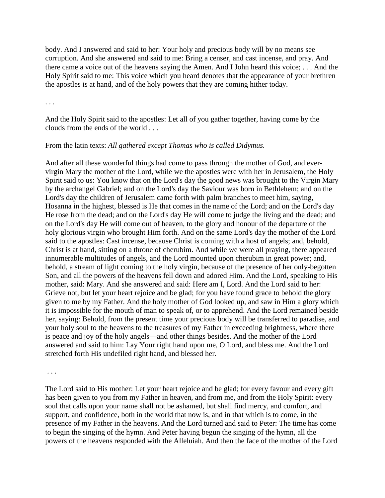body. And I answered and said to her: Your [holy](http://www.newadvent.org/cathen/07386a.htm) and precious body will by no means see corruption. And she answered and said to me: Bring a censer, and cast [incense,](http://www.newadvent.org/cathen/07716a.htm) and [pray.](http://www.newadvent.org/cathen/12345b.htm) And there came a voice out of the heavens saying the [Amen.](http://www.newadvent.org/cathen/01407b.htm) And I John heard this voice; . . . And the [Holy Spirit](http://www.newadvent.org/cathen/07409a.htm) said to me: This voice which you heard denotes that the appearance of your brethren the [apostles](http://www.newadvent.org/cathen/01626c.htm) is at hand, and of the [holy](http://www.newadvent.org/cathen/07386a.htm) powers that they are coming hither today.

## . . .

And the [Holy Spirit](http://www.newadvent.org/cathen/07409a.htm) said to the [apostles:](http://www.newadvent.org/cathen/01626c.htm) Let all of you gather together, having come by the clouds from the ends of the world . . .

## From the latin texts: *All gathered except Thomas who is called Didymus.*

And after all these wonderful things had come to pass through the mother of [God,](http://www.newadvent.org/cathen/06608a.htm) and evervirgin Mary the mother of the Lord, while we the [apostles](http://www.newadvent.org/cathen/01626c.htm) were with her in Jerusalem, the [Holy](http://www.newadvent.org/cathen/07409a.htm)  [Spirit](http://www.newadvent.org/cathen/07409a.htm) said to us: You [know](http://www.newadvent.org/cathen/08673a.htm) that on the Lord's day the good news was brought to the Virgin Mary by the archangel Gabriel; and on the Lord's day the Saviour was born in [Bethlehem;](http://www.newadvent.org/cathen/02533a.htm) and on the Lord's day the children of Jerusalem came forth with palm branches to meet him, saying, [Hosanna](http://www.newadvent.org/cathen/07472b.htm) in the highest, blessed is He that comes in the name of the Lord; and on the Lord's day He rose from the dead; and on the Lord's day He will come to judge the living and the dead; and on the Lord's day He will come out of heaven, to the [glory](http://www.newadvent.org/cathen/06585a.htm) and [honour](http://www.newadvent.org/cathen/07462a.htm) of the departure of the [holy](http://www.newadvent.org/cathen/07386a.htm) [glorious](http://www.newadvent.org/cathen/06585a.htm) virgin who brought Him forth. And on the same Lord's day the mother of the Lord said to the [apostles:](http://www.newadvent.org/cathen/01626c.htm) Cast [incense,](http://www.newadvent.org/cathen/07716a.htm) because Christ is coming with a host of [angels;](http://www.newadvent.org/cathen/01476d.htm) and, behold, Christ is at hand, sitting on a throne of [cherubim.](http://www.newadvent.org/cathen/03646c.htm) And while we were all [praying,](http://www.newadvent.org/cathen/12345b.htm) there appeared innumerable multitudes of [angels,](http://www.newadvent.org/cathen/01476d.htm) and the Lord mounted upon [cherubim](http://www.newadvent.org/cathen/03646c.htm) in great power; and, behold, a stream of light coming to the [holy](http://www.newadvent.org/cathen/07386a.htm) virgin, because of the presence of her only-begotten Son, and all the powers of the heavens fell down and adored Him. And the Lord, speaking to His mother, said: Mary. And she answered and said: Here am I, Lord. And the Lord said to her: Grieve not, but let your heart [rejoice](http://www.newadvent.org/cathen/07131b.htm) and be glad; for you have found [grace](http://www.newadvent.org/cathen/06689a.htm) to behold the [glory](http://www.newadvent.org/cathen/06585a.htm) given to me by my Father. And the [holy](http://www.newadvent.org/cathen/07386a.htm) mother of God looked up, and saw in Him a [glory](http://www.newadvent.org/cathen/06585a.htm) which it is impossible for the mouth of man to speak of, or to apprehend. And the Lord remained beside her, saying: Behold, from the present time your precious body will be transferred to paradise, and your [holy](http://www.newadvent.org/cathen/07386a.htm) [soul](http://www.newadvent.org/cathen/14153a.htm) to the heavens to the treasures of my Father in exceeding brightness, where there is peace and [joy](http://www.newadvent.org/cathen/07131b.htm) of the [holy](http://www.newadvent.org/cathen/07386a.htm) [angels—](http://www.newadvent.org/cathen/01476d.htm)and other things besides. And the mother of the Lord answered and said to him: Lay Your right hand upon me, O Lord, and bless me. And the Lord stretched forth His undefiled right hand, and blessed her.

. . .

The Lord said to His mother: Let your heart [rejoice](http://www.newadvent.org/cathen/07131b.htm) and be glad; for every favour and every gift has been given to you from my Father in heaven, and from me, and from the [Holy Spirit:](http://www.newadvent.org/cathen/07409a.htm) every [soul](http://www.newadvent.org/cathen/14153a.htm) that calls upon your name shall not be ashamed, but shall find mercy, and comfort, and support, and confidence, both in the world that now is, and in that which is to come, in the presence of my Father in the heavens. And the Lord turned and said to Peter: The time has come to begin the singing of the hymn. And Peter having begun the singing of the hymn, all the powers of the heavens responded with the Alleluiah. And then the face of the mother of the Lord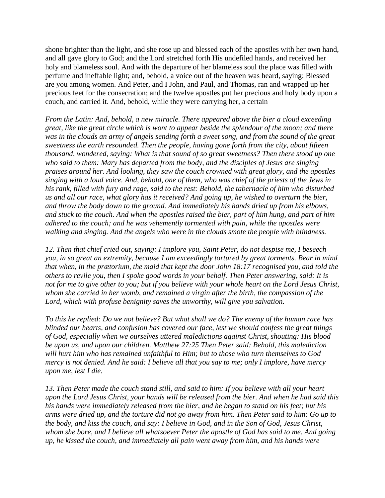shone brighter than the light, and she rose up and blessed each of the [apostles](http://www.newadvent.org/cathen/01626c.htm) with her own hand, and all gave [glory](http://www.newadvent.org/cathen/06585a.htm) to [God;](http://www.newadvent.org/cathen/06608a.htm) and the Lord stretched forth His undefiled hands, and received her [holy](http://www.newadvent.org/cathen/07386a.htm) and blameless [soul.](http://www.newadvent.org/cathen/14153a.htm) And with the departure of her blameless [soul](http://www.newadvent.org/cathen/14153a.htm) the place was filled with perfume and ineffable light; and, behold, a voice out of the heaven was heard, saying: Blessed are you among [women.](http://www.newadvent.org/cathen/15687b.htm) And Peter, and I John, and [Paul,](http://www.newadvent.org/cathen/11567b.htm) and Thomas, ran and wrapped up her precious feet for the consecration; and the twelve [apostles](http://www.newadvent.org/cathen/01626c.htm) put her precious and [holy](http://www.newadvent.org/cathen/07386a.htm) body upon a couch, and carried it. And, behold, while they were carrying her, a certain

*From the Latin: And, behold, a new [miracle.](http://www.newadvent.org/cathen/10338a.htm) There appeared above the bier a cloud exceeding great, like the great circle which is wont to appear beside the splendour of the moon; and there was in the clouds an army of [angels](http://www.newadvent.org/cathen/01476d.htm) sending forth a sweet song, and from the sound of the great sweetness the earth resounded. Then the people, having gone forth from the city, about fifteen thousand, wondered, saying: What is that sound of so great sweetness? Then there stood up one who said to them: Mary has departed from the body, and the [disciples](http://www.newadvent.org/cathen/05029a.htm) of [Jesus](http://www.newadvent.org/cathen/08374c.htm) are singing praises around her. And looking, they saw the couch crowned with great [glory,](http://www.newadvent.org/cathen/06585a.htm) and the [apostles](http://www.newadvent.org/cathen/01626c.htm) singing with a loud voice. And, behold, one of them, who was chief of the [priests](http://www.newadvent.org/cathen/12406a.htm) of the [Jews](http://www.newadvent.org/cathen/08399a.htm) in his rank, filled with fury and rage, said to the rest: Behold, the tabernacle of him who disturbed us and all our race, what [glory](http://www.newadvent.org/cathen/06585a.htm) has it received? And going up, he wished to overturn the bier, and throw the body down to the ground. And immediately his hands dried up from his elbows, and stuck to the couch. And when the [apostles](http://www.newadvent.org/cathen/01626c.htm) raised the bier, part of him hung, and part of him adhered to the couch; and he was vehemently tormented with pain, while the [apostles](http://www.newadvent.org/cathen/01626c.htm) were walking and singing. And the [angels](http://www.newadvent.org/cathen/01476d.htm) who were in the clouds smote the people with blindness.*

*12. Then that chief cried out, saying: I implore you, Saint Peter, do not despise me, I beseech you, in so great an extremity, because I am exceedingly tortured by great torments. Bear in mind that when, in the prætorium, the maid that kept the door John [18:17](http://www.newadvent.org/bible/joh018.htm%23verse17) recognised you, and told the others to revile you, then I spoke good words in your behalf. Then Peter answering, said: It is not for me to give other to you; but if you believe with your whole heart on the [Lord Jesus Christ,](http://www.newadvent.org/cathen/08374c.htm) whom she carried in her womb, and remained a [virgin](http://www.newadvent.org/cathen/15458a.htm) after the birth, the compassion of the Lord, which with profuse benignity saves the unworthy, will give you [salvation.](http://www.newadvent.org/cathen/13407a.htm)* 

*To this he replied: Do we not [believe?](http://www.newadvent.org/cathen/02408b.htm) But what shall we do? The enemy of the [human race](http://www.newadvent.org/cathen/09580c.htm) has blinded our hearts, and confusion has covered our face, lest we should confess the great things of [God,](http://www.newadvent.org/cathen/06608a.htm) especially when we ourselves uttered maledictions against [Christ,](http://www.newadvent.org/cathen/08374c.htm) shouting: His blood be upon us, and upon our children. [Matthew](http://www.newadvent.org/bible/mat027.htm%23verse25) 27:25 Then Peter said: Behold, this malediction will hurt him who has remained unfaithful to Him; but to those who turn themselves to God mercy is not denied. And he said: I [believe](http://www.newadvent.org/cathen/02408b.htm) all that you say to me; only I implore, have mercy upon me, lest I die.*

*13. Then Peter made the couch stand still, and said to him: If you believe with all your heart upon the [Lord Jesus](http://www.newadvent.org/cathen/08374c.htm) Christ, your hands will be released from the bier. And when he had said this his hands were immediately released from the bier, and he began to stand on his feet; but his arms were dried up, and the torture did not go away from him. Then Peter said to him: Go up to the body, and [kiss](http://www.newadvent.org/cathen/08663a.htm) the couch, and say: I [believe](http://www.newadvent.org/cathen/02408b.htm) in [God,](http://www.newadvent.org/cathen/06608a.htm) and in the [Son of God,](http://www.newadvent.org/cathen/14142b.htm) [Jesus Christ,](http://www.newadvent.org/cathen/08374c.htm) whom she bore, and I [believe](http://www.newadvent.org/cathen/02408b.htm) all whatsoever Peter the apostle of God has said to me. And going up, he kissed the couch, and immediately all pain went away from him, and his hands were*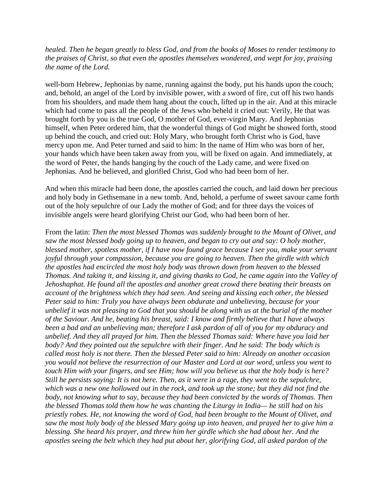*healed. Then he began greatly to bless [God,](http://www.newadvent.org/cathen/06608a.htm) and from the books of [Moses](http://www.newadvent.org/cathen/10596a.htm) to render testimony to the praises of [Christ,](http://www.newadvent.org/cathen/08374c.htm) so that even the [apostles](http://www.newadvent.org/cathen/01626c.htm) themselves wondered, and wept for [joy,](http://www.newadvent.org/cathen/07131b.htm) praising the name of the Lord.*

well-born Hebrew, Jephonias by name, running against the body, put his hands upon the couch; and, behold, an [angel](http://www.newadvent.org/cathen/01476d.htm) of the Lord by invisible power, with a sword of fire, cut off his two hands from his shoulders, and made them hang about the couch, lifted up in the air. And at this [miracle](http://www.newadvent.org/cathen/10338a.htm) which had come to pass all the people of the [Jews](http://www.newadvent.org/cathen/08399a.htm) who beheld it cried out: Verily, He that was brought forth by you is the [true](http://www.newadvent.org/cathen/15073a.htm) [God,](http://www.newadvent.org/cathen/06608a.htm) O mother of [God,](http://www.newadvent.org/cathen/06608a.htm) ever-virgin Mary. And Jephonias himself, when Peter ordered him, that the wonderful things of God might be showed forth, stood up behind the couch, and cried out: Holy Mary, who brought forth Christ who is [God,](http://www.newadvent.org/cathen/06608a.htm) have mercy upon me. And Peter turned and said to him: In the name of Him who was born of her, your hands which have been taken away from you, will be fixed on again. And immediately, at the word of Peter, the hands hanging by the couch of the Lady came, and were fixed on Jephonias. And he [believed,](http://www.newadvent.org/cathen/02408b.htm) and [glorified](http://www.newadvent.org/cathen/06585a.htm) Christ, God who had been born of her.

And when this [miracle](http://www.newadvent.org/cathen/10338a.htm) had been done, the [apostles](http://www.newadvent.org/cathen/01626c.htm) carried the couch, and laid down her precious and [holy](http://www.newadvent.org/cathen/07386a.htm) body in Gethsemane in a new tomb. And, behold, a perfume of sweet savour came forth out of the [holy](http://www.newadvent.org/cathen/07386a.htm) sepulchre of our Lady the mother of [God;](http://www.newadvent.org/cathen/06608a.htm) and for three days the voices of invisible [angels](http://www.newadvent.org/cathen/01476d.htm) were heard glorifying Christ our [God,](http://www.newadvent.org/cathen/06608a.htm) who had been born of her.

From the latin: *Then the most blessed Thomas was suddenly brought to the Mount of Olivet, and saw the most blessed body going up to heaven, and began to cry out and say: O [holy](http://www.newadvent.org/cathen/07386a.htm) mother, blessed mother, spotless mother, if I have now found [grace](http://www.newadvent.org/cathen/06689a.htm) because I see you, make your servant joyful through your compassion, because you are going to heaven. Then the girdle with which the [apostles](http://www.newadvent.org/cathen/01626c.htm) had encircled the most [holy](http://www.newadvent.org/cathen/07386a.htm) body was thrown down from heaven to the blessed Thomas. And taking it, and kissing it, and giving thanks to [God,](http://www.newadvent.org/cathen/06608a.htm) he came again into the [Valley of](http://www.newadvent.org/cathen/08503a.htm)  [Jehoshaphat.](http://www.newadvent.org/cathen/08503a.htm) He found all the [apostles](http://www.newadvent.org/cathen/01626c.htm) and another great crowd there beating their breasts on account of the brightness which they had seen. And seeing and kissing each other, the blessed Peter said to him: Truly you have always been obdurate and unbelieving, because for your unbelief it was not pleasing to God that you should be along with us at the burial of the mother of the Saviour. And he, beating his breast, said: I [know](http://www.newadvent.org/cathen/08673a.htm) and firmly [believe](http://www.newadvent.org/cathen/02408b.htm) that I have always been a bad and an unbelieving man; therefore I ask pardon of all of you for my obduracy and unbelief. And they all [prayed](http://www.newadvent.org/cathen/12345b.htm) for him. Then the blessed Thomas said: Where have you laid her body? And they pointed out the sepulchre with their finger. And he said: The body which is called most [holy](http://www.newadvent.org/cathen/07386a.htm) is not there. Then the blessed Peter said to him: Already on another occasion you would not [believe](http://www.newadvent.org/cathen/02408b.htm) the resurrection of our Master and Lord at our word, unless you went to touch Him with your fingers, and see Him; how will you [believe](http://www.newadvent.org/cathen/02408b.htm) us that the [holy](http://www.newadvent.org/cathen/07386a.htm) body is here? Still he persists saying: It is not here. Then, as it were in a rage, they went to the sepulchre, which was a new one hollowed out in the rock, and took up the stone; but they did not find the body, not [knowing](http://www.newadvent.org/cathen/08673a.htm) what to say, because they had been convicted by the words of Thomas. Then the blessed Thomas told them how he was chanting the Liturgy in India— he still had on his priestly robes. He, not [knowing](http://www.newadvent.org/cathen/08673a.htm) the word of [God,](http://www.newadvent.org/cathen/06608a.htm) had been brought to the Mount of Olivet, and saw the most [holy](http://www.newadvent.org/cathen/07386a.htm) body of the blessed Mary going up into heaven, and [prayed](http://www.newadvent.org/cathen/12345b.htm) her to give him a blessing. She heard his [prayer,](http://www.newadvent.org/cathen/12345b.htm) and threw him her girdle which she had about her. And the [apostles](http://www.newadvent.org/cathen/01626c.htm) seeing the belt which they had put about her, glorifying [God,](http://www.newadvent.org/cathen/06608a.htm) all asked pardon of the*